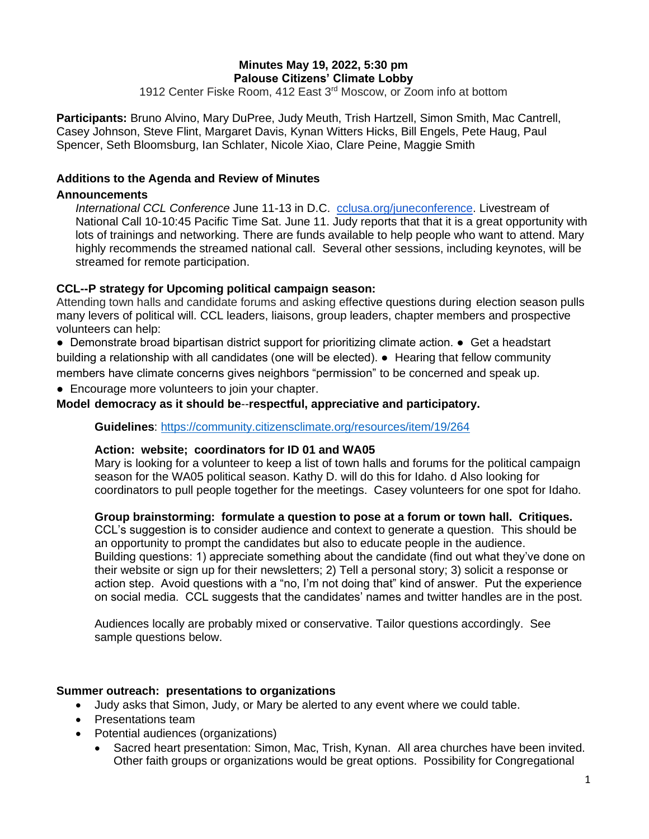# **Minutes May 19, 2022, 5:30 pm Palouse Citizens' Climate Lobby**

1912 Center Fiske Room, 412 East 3rd Moscow, or Zoom info at bottom

**Participants:** Bruno Alvino, Mary DuPree, Judy Meuth, Trish Hartzell, Simon Smith, Mac Cantrell, Casey Johnson, Steve Flint, Margaret Davis, Kynan Witters Hicks, Bill Engels, Pete Haug, Paul Spencer, Seth Bloomsburg, Ian Schlater, Nicole Xiao, Clare Peine, Maggie Smith

## **Additions to the Agenda and Review of Minutes**

### **Announcements**

*International CCL Conference* June 11-13 in D.C. [cclusa.org/juneconference.](http://cclusa.org/juneconference) Livestream of National Call 10-10:45 Pacific Time Sat. June 11. Judy reports that that it is a great opportunity with lots of trainings and networking. There are funds available to help people who want to attend. Mary highly recommends the streamed national call. Several other sessions, including keynotes, will be streamed for remote participation.

### **CCL--P strategy for Upcoming political campaign season:**

Attending town halls and candidate forums and asking effective questions during election season pulls many levers of political will. CCL leaders, liaisons, group leaders, chapter members and prospective volunteers can help:

● Demonstrate broad bipartisan district support for prioritizing climate action. ● Get a headstart building a relationship with all candidates (one will be elected). ● Hearing that fellow community members have climate concerns gives neighbors "permission" to be concerned and speak up.

• Encourage more volunteers to join your chapter.

### **Model democracy as it should be**--**respectful, appreciative and participatory.**

**Guidelines**:<https://community.citizensclimate.org/resources/item/19/264>

#### **Action: website; coordinators for ID 01 and WA05**

Mary is looking for a volunteer to keep a list of town halls and forums for the political campaign season for the WA05 political season. Kathy D. will do this for Idaho. d Also looking for coordinators to pull people together for the meetings. Casey volunteers for one spot for Idaho.

## **Group brainstorming: formulate a question to pose at a forum or town hall. Critiques.**

CCL's suggestion is to consider audience and context to generate a question. This should be an opportunity to prompt the candidates but also to educate people in the audience. Building questions: 1) appreciate something about the candidate (find out what they've done on their website or sign up for their newsletters; 2) Tell a personal story; 3) solicit a response or action step. Avoid questions with a "no, I'm not doing that" kind of answer. Put the experience on social media. CCL suggests that the candidates' names and twitter handles are in the post.

Audiences locally are probably mixed or conservative. Tailor questions accordingly. See sample questions below.

#### **Summer outreach: presentations to organizations**

- Judy asks that Simon, Judy, or Mary be alerted to any event where we could table.
- Presentations team
- Potential audiences (organizations)
	- Sacred heart presentation: Simon, Mac, Trish, Kynan. All area churches have been invited. Other faith groups or organizations would be great options. Possibility for Congregational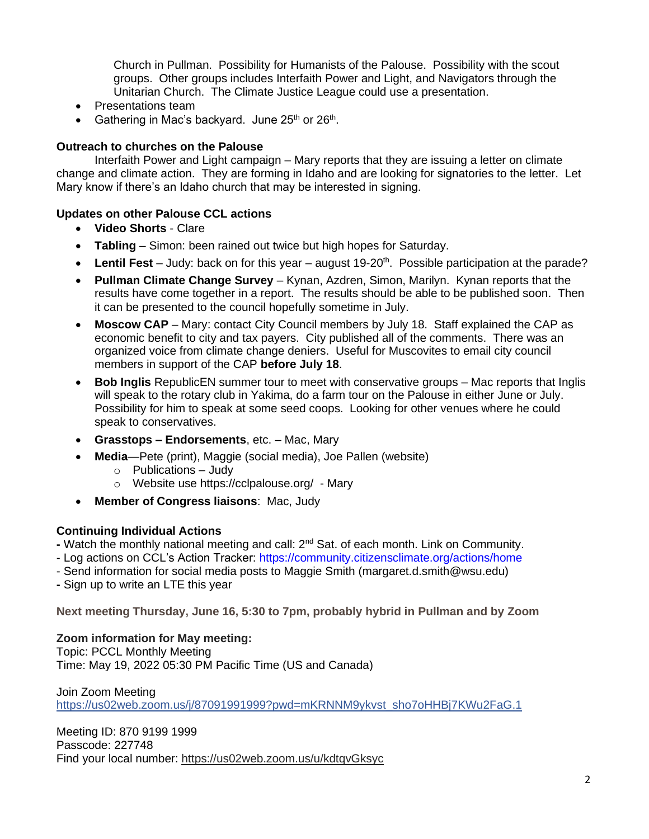Church in Pullman. Possibility for Humanists of the Palouse. Possibility with the scout groups. Other groups includes Interfaith Power and Light, and Navigators through the Unitarian Church. The Climate Justice League could use a presentation.

- Presentations team
- Gathering in Mac's backyard. June  $25<sup>th</sup>$  or  $26<sup>th</sup>$ .

## **Outreach to churches on the Palouse**

Interfaith Power and Light campaign – Mary reports that they are issuing a letter on climate change and climate action. They are forming in Idaho and are looking for signatories to the letter. Let Mary know if there's an Idaho church that may be interested in signing.

## **Updates on other Palouse CCL actions**

- **Video Shorts** Clare
- **Tabling** Simon: been rained out twice but high hopes for Saturday.
- Lentil Fest Judy: back on for this year august 19-20<sup>th</sup>. Possible participation at the parade?
- **Pullman Climate Change Survey** Kynan, Azdren, Simon, Marilyn. Kynan reports that the results have come together in a report. The results should be able to be published soon. Then it can be presented to the council hopefully sometime in July.
- **Moscow CAP** Mary: contact City Council members by July 18. Staff explained the CAP as economic benefit to city and tax payers. City published all of the comments. There was an organized voice from climate change deniers. Useful for Muscovites to email city council members in support of the CAP **before July 18**.
- **Bob Inglis** RepublicEN summer tour to meet with conservative groups Mac reports that Inglis will speak to the rotary club in Yakima, do a farm tour on the Palouse in either June or July. Possibility for him to speak at some seed coops. Looking for other venues where he could speak to conservatives.
- **Grasstops – Endorsements**, etc. Mac, Mary
- **Media**—Pete (print), Maggie (social media), Joe Pallen (website)
	- $\circ$  Publications Judy
	- o Website use<https://cclpalouse.org/> Mary
- **Member of Congress liaisons**: Mac, Judy

# **Continuing Individual Actions**

**-** Watch the monthly national meeting and call: 2nd Sat. of each month. Link on Community.

- Log actions on CCL's Action Tracker: https://community.citizensclimate.org/actions/home
- Send information for social media posts to Maggie Smith (margaret.d.smith@wsu.edu)
- **-** Sign up to write an LTE this year

**Next meeting Thursday, June 16, 5:30 to 7pm, probably hybrid in Pullman and by Zoom**

## **Zoom information for May meeting:**

Topic: PCCL Monthly Meeting Time: May 19, 2022 05:30 PM Pacific Time (US and Canada)

Join Zoom Meeting [https://us02web.zoom.us/j/87091991999?pwd=mKRNNM9ykvst\\_sho7oHHBj7KWu2FaG.1](https://us02web.zoom.us/j/87091991999?pwd=mKRNNM9ykvst_sho7oHHBj7KWu2FaG.1)

Meeting ID: 870 9199 1999 Passcode: 227748 Find your local number: <https://us02web.zoom.us/u/kdtqvGksyc>